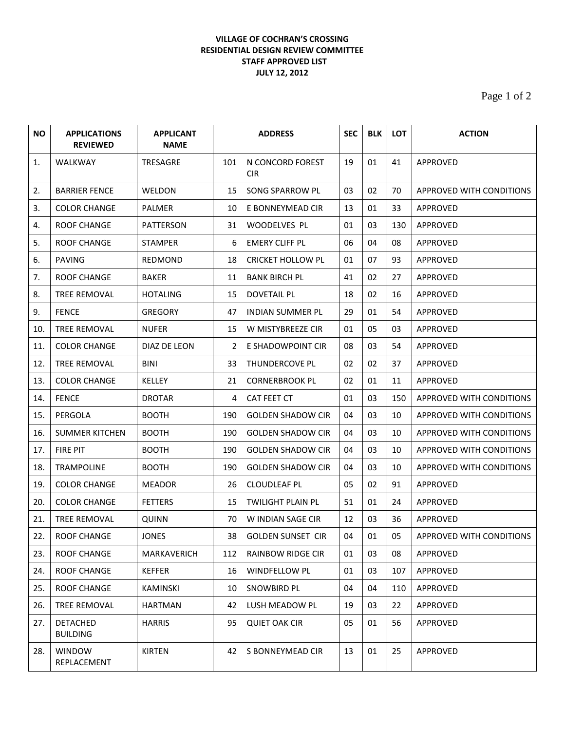## **VILLAGE OF COCHRAN'S CROSSING RESIDENTIAL DESIGN REVIEW COMMITTEE STAFF APPROVED LIST JULY 12, 2012**

Page 1 of 2

| <b>NO</b> | <b>APPLICATIONS</b><br><b>REVIEWED</b> | <b>APPLICANT</b><br><b>NAME</b> | <b>ADDRESS</b> |                                | <b>SEC</b> | <b>BLK</b> | LOT | <b>ACTION</b>            |
|-----------|----------------------------------------|---------------------------------|----------------|--------------------------------|------------|------------|-----|--------------------------|
| 1.        | WALKWAY                                | TRESAGRE                        | 101            | N CONCORD FOREST<br><b>CIR</b> | 19         | 01         | 41  | APPROVED                 |
| 2.        | <b>BARRIER FENCE</b>                   | <b>WELDON</b>                   | 15             | SONG SPARROW PL                | 03         | 02         | 70  | APPROVED WITH CONDITIONS |
| 3.        | <b>COLOR CHANGE</b>                    | PALMER                          | 10             | E BONNEYMEAD CIR               | 13         | 01         | 33  | APPROVED                 |
| 4.        | ROOF CHANGE                            | PATTERSON                       | 31             | WOODELVES PL                   | 01         | 03         | 130 | APPROVED                 |
| 5.        | <b>ROOF CHANGE</b>                     | <b>STAMPER</b>                  | 6              | <b>EMERY CLIFF PL</b>          | 06         | 04         | 08  | APPROVED                 |
| 6.        | <b>PAVING</b>                          | REDMOND                         | 18             | <b>CRICKET HOLLOW PL</b>       | 01         | 07         | 93  | APPROVED                 |
| 7.        | <b>ROOF CHANGE</b>                     | <b>BAKER</b>                    | 11             | <b>BANK BIRCH PL</b>           | 41         | 02         | 27  | APPROVED                 |
| 8.        | TREE REMOVAL                           | <b>HOTALING</b>                 | 15             | <b>DOVETAIL PL</b>             | 18         | 02         | 16  | APPROVED                 |
| 9.        | <b>FENCE</b>                           | <b>GREGORY</b>                  | 47             | <b>INDIAN SUMMER PL</b>        | 29         | 01         | 54  | APPROVED                 |
| 10.       | <b>TREE REMOVAL</b>                    | <b>NUFER</b>                    | 15             | W MISTYBREEZE CIR              | 01         | 05         | 03  | APPROVED                 |
| 11.       | <b>COLOR CHANGE</b>                    | DIAZ DE LEON                    | 2              | E SHADOWPOINT CIR              | 08         | 03         | 54  | <b>APPROVED</b>          |
| 12.       | TREE REMOVAL                           | <b>BINI</b>                     | 33             | THUNDERCOVE PL                 | 02         | 02         | 37  | APPROVED                 |
| 13.       | <b>COLOR CHANGE</b>                    | <b>KELLEY</b>                   | 21             | <b>CORNERBROOK PL</b>          | 02         | 01         | 11  | APPROVED                 |
| 14.       | <b>FENCE</b>                           | <b>DROTAR</b>                   | 4              | CAT FEET CT                    | 01         | 03         | 150 | APPROVED WITH CONDITIONS |
| 15.       | PERGOLA                                | <b>BOOTH</b>                    | 190            | <b>GOLDEN SHADOW CIR</b>       | 04         | 03         | 10  | APPROVED WITH CONDITIONS |
| 16.       | <b>SUMMER KITCHEN</b>                  | <b>BOOTH</b>                    | 190            | <b>GOLDEN SHADOW CIR</b>       | 04         | 03         | 10  | APPROVED WITH CONDITIONS |
| 17.       | <b>FIRE PIT</b>                        | <b>BOOTH</b>                    | 190            | <b>GOLDEN SHADOW CIR</b>       | 04         | 03         | 10  | APPROVED WITH CONDITIONS |
| 18.       | <b>TRAMPOLINE</b>                      | <b>BOOTH</b>                    | 190            | <b>GOLDEN SHADOW CIR</b>       | 04         | 03         | 10  | APPROVED WITH CONDITIONS |
| 19.       | <b>COLOR CHANGE</b>                    | <b>MEADOR</b>                   | 26             | <b>CLOUDLEAF PL</b>            | 05         | 02         | 91  | APPROVED                 |
| 20.       | <b>COLOR CHANGE</b>                    | <b>FETTERS</b>                  | 15             | <b>TWILIGHT PLAIN PL</b>       | 51         | 01         | 24  | APPROVED                 |
| 21.       | <b>TREE REMOVAL</b>                    | <b>QUINN</b>                    | 70             | W INDIAN SAGE CIR              | 12         | 03         | 36  | APPROVED                 |
| 22.       | ROOF CHANGE                            | JONES                           |                | 38 GOLDEN SUNSET CIR           | 04         | 01         | 05  | APPROVED WITH CONDITIONS |
| 23.       | <b>ROOF CHANGE</b>                     | MARKAVERICH                     | 112            | RAINBOW RIDGE CIR              | 01         | 03         | 08  | APPROVED                 |
| 24.       | <b>ROOF CHANGE</b>                     | KEFFER                          | 16             | <b>WINDFELLOW PL</b>           | 01         | 03         | 107 | APPROVED                 |
| 25.       | <b>ROOF CHANGE</b>                     | KAMINSKI                        | 10             | SNOWBIRD PL                    | 04         | 04         | 110 | APPROVED                 |
| 26.       | TREE REMOVAL                           | <b>HARTMAN</b>                  | 42             | LUSH MEADOW PL                 | 19         | 03         | 22  | <b>APPROVED</b>          |
| 27.       | <b>DETACHED</b><br><b>BUILDING</b>     | <b>HARRIS</b>                   | 95             | <b>QUIET OAK CIR</b>           | 05         | 01         | 56  | APPROVED                 |
| 28.       | <b>WINDOW</b><br>REPLACEMENT           | <b>KIRTEN</b>                   |                | 42 S BONNEYMEAD CIR            | 13         | 01         | 25  | APPROVED                 |